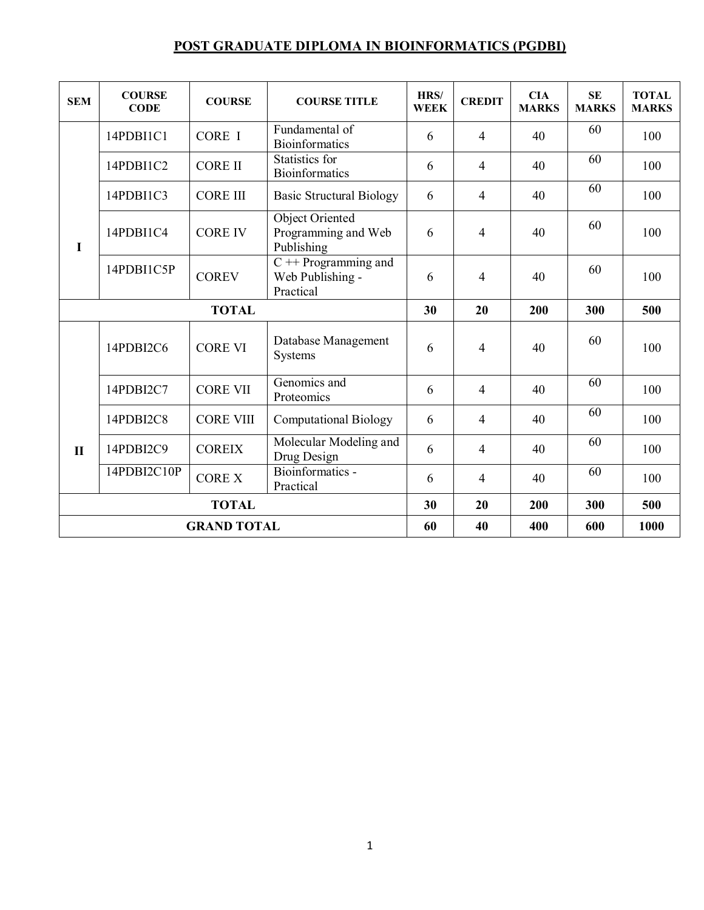# **POST GRADUATE DIPLOMA IN BIOINFORMATICS (PGDBI)**

| <b>SEM</b>         | <b>COURSE</b><br><b>CODE</b> | <b>COURSE</b>    | <b>COURSE TITLE</b>                                         | HRS/<br><b>WEEK</b> | <b>CREDIT</b>  | <b>CIA</b><br><b>MARKS</b> | <b>SE</b><br><b>MARKS</b> | <b>TOTAL</b><br><b>MARKS</b> |
|--------------------|------------------------------|------------------|-------------------------------------------------------------|---------------------|----------------|----------------------------|---------------------------|------------------------------|
|                    | 14PDBI1C1                    | <b>CORE I</b>    | Fundamental of<br><b>Bioinformatics</b>                     | 6                   | $\overline{4}$ | 40                         | 60                        | 100                          |
|                    | 14PDBI1C2                    | <b>CORE II</b>   | <b>Statistics for</b><br><b>Bioinformatics</b>              | 6                   | $\overline{4}$ | 40                         | 60                        | 100                          |
|                    | 14PDBI1C3                    | <b>CORE III</b>  | <b>Basic Structural Biology</b>                             | 6                   | $\overline{4}$ | 40                         | 60                        | 100                          |
| I                  | 14PDBI1C4                    | <b>CORE IV</b>   | <b>Object Oriented</b><br>Programming and Web<br>Publishing | 6                   | $\overline{4}$ | 40                         | 60                        | 100                          |
|                    | 14PDBI1C5P                   | <b>COREV</b>     | $C + P$ rogramming and<br>Web Publishing -<br>Practical     | 6                   | $\overline{4}$ | 40                         | 60                        | 100                          |
| <b>TOTAL</b>       |                              |                  |                                                             | 30                  | 20             | 200                        | 300                       | 500                          |
|                    | 14PDBI2C6                    | <b>CORE VI</b>   | Database Management<br>Systems                              | 6                   | $\overline{4}$ | 40                         | 60                        | 100                          |
|                    | 14PDBI2C7                    | <b>CORE VII</b>  | Genomics and<br>Proteomics                                  | 6                   | $\overline{4}$ | 40                         | 60                        | 100                          |
|                    | 14PDBI2C8                    | <b>CORE VIII</b> | <b>Computational Biology</b>                                | 6                   | $\overline{4}$ | 40                         | 60                        | 100                          |
| $\mathbf{I}$       | 14PDBI2C9                    | <b>COREIX</b>    | Molecular Modeling and<br>Drug Design                       | 6                   | $\overline{4}$ | 40                         | 60                        | 100                          |
|                    | 14PDBI2C10P                  | <b>CORE X</b>    | Bioinformatics -<br>Practical                               | 6                   | $\overline{4}$ | 40                         | 60                        | 100                          |
| <b>TOTAL</b>       |                              |                  |                                                             | 30                  | 20             | 200                        | 300                       | 500                          |
| <b>GRAND TOTAL</b> |                              |                  |                                                             | 60                  | 40             | 400                        | 600                       | 1000                         |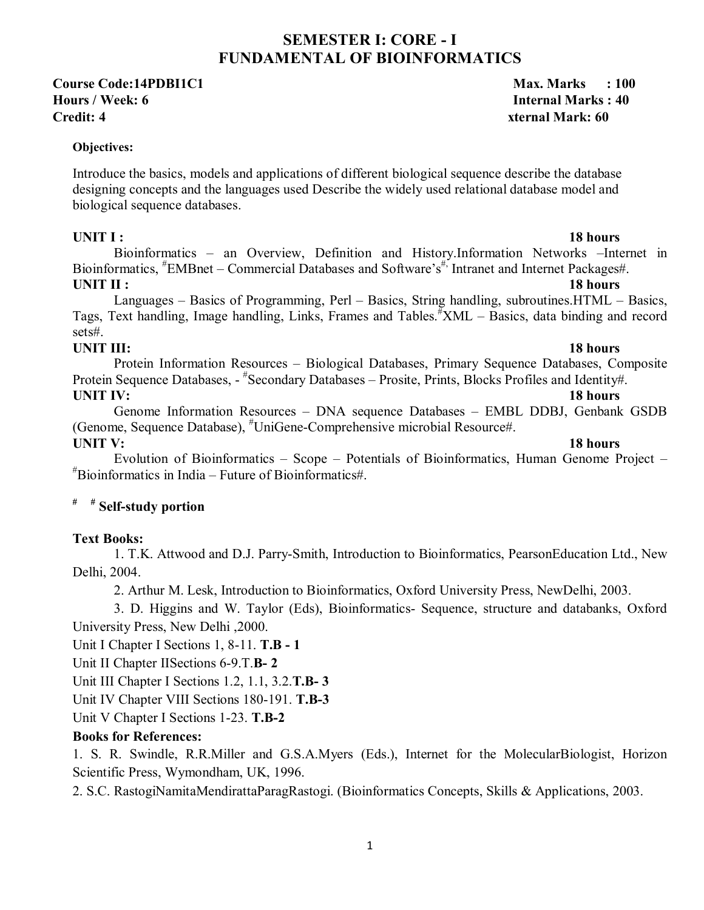# **SEMESTER I: CORE - I FUNDAMENTAL OF BIOINFORMATICS**

**Course Code:14PDBI1C1 Max. Marks : 100** Max. Marks : 100 **Hours / Week: 6 Internal Marks : 40 Credit: 4 External Mark: 60 External Mark: 60** 

### **Objectives:**

Introduce the basics, models and applications of different biological sequence describe the database designing concepts and the languages used Describe the widely used relational database model and biological sequence databases.

# **UNIT I :** 18 hours

Bioinformatics – an Overview, Definition and History.Information Networks –Internet in Bioinformatics, <sup>#</sup>EMBnet – Commercial Databases and Software's<sup>#,</sup> Intranet and Internet Packages#. **UNIT II :** 18 hours

Languages – Basics of Programming, Perl – Basics, String handling, subroutines.HTML – Basics, Tags, Text handling, Image handling, Links, Frames and Tables.<sup>#</sup>XML - Basics, data binding and record sets#.

**UNIT III:** 18 hours Protein Information Resources – Biological Databases, Primary Sequence Databases, Composite Protein Sequence Databases, -  $*$ Secondary Databases – Prosite, Prints, Blocks Profiles and Identity#. **UNIT IV:** 18 hours

Genome Information Resources – DNA sequence Databases – EMBL DDBJ, Genbank GSDB (Genome, Sequence Database), # UniGene-Comprehensive microbial Resource#. **UNIT V:** 18 hours

Evolution of Bioinformatics – Scope – Potentials of Bioinformatics, Human Genome Project – # Bioinformatics in India – Future of Bioinformatics#.

# **# # Self-study portion**

### **Text Books:**

1. T.K. Attwood and D.J. Parry-Smith, Introduction to Bioinformatics, PearsonEducation Ltd., New Delhi, 2004.

2. Arthur M. Lesk, Introduction to Bioinformatics, Oxford University Press, NewDelhi, 2003.

3. D. Higgins and W. Taylor (Eds), Bioinformatics- Sequence, structure and databanks, Oxford University Press, New Delhi ,2000.

Unit I Chapter I Sections 1, 8-11. **T.B - 1** 

Unit II Chapter IISections 6-9.T.**B- 2** 

Unit III Chapter I Sections 1.2, 1.1, 3.2.**T.B- 3** 

Unit IV Chapter VIII Sections 180-191. **T.B-3** 

Unit V Chapter I Sections 1-23. **T.B-2**

### **Books for References:**

1. S. R. Swindle, R.R.Miller and G.S.A.Myers (Eds.), Internet for the MolecularBiologist, Horizon Scientific Press, Wymondham, UK, 1996.

2. S.C. RastogiNamitaMendirattaParagRastogi. (Bioinformatics Concepts, Skills & Applications, 2003.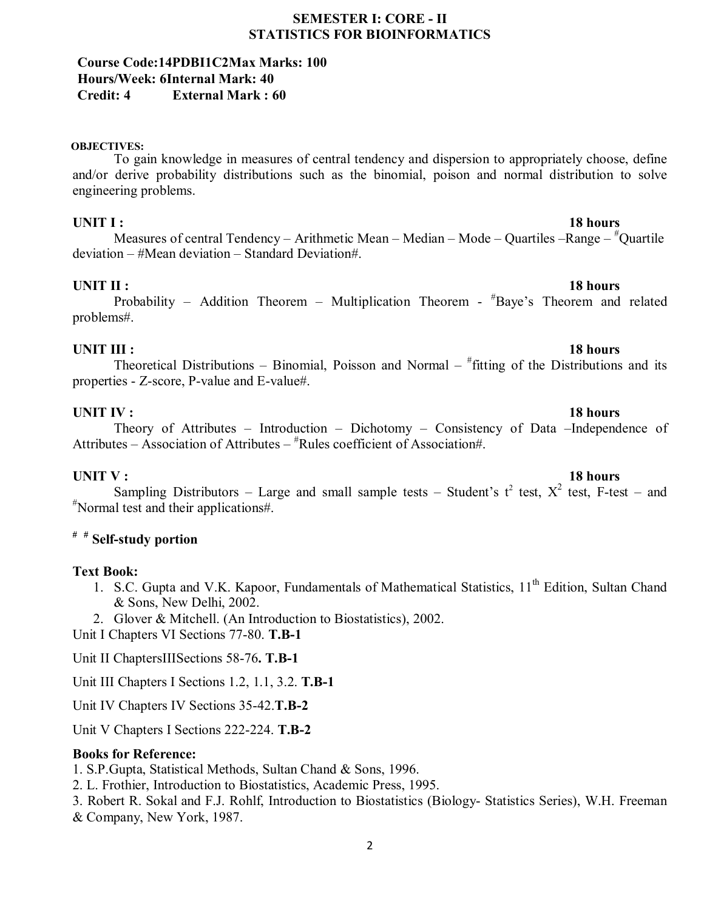### **SEMESTER I: CORE - II STATISTICS FOR BIOINFORMATICS**

# **Course Code:14PDBI1C2Max Marks: 100 Hours/Week: 6Internal Mark: 40 Credit: 4 External Mark : 60**

### **OBJECTIVES:**

To gain knowledge in measures of central tendency and dispersion to appropriately choose, define and/or derive probability distributions such as the binomial, poison and normal distribution to solve engineering problems.

**UNIT I :** 18 hours Measures of central Tendency – Arithmetic Mean – Median – Mode – Quartiles –Range – <sup>#</sup>Quartile deviation – #Mean deviation – Standard Deviation#.

# **UNIT II :** 18 hours

Probability – Addition Theorem – Multiplication Theorem - <sup>#</sup>Baye's Theorem and related problems#.

### **UNIT III :** 18 hours

Theoretical Distributions – Binomial, Poisson and Normal –  $<sup>#</sup>$  fitting of the Distributions and its</sup> properties - Z-score, P-value and E-value#.

**UNIT IV :** 18 hours Theory of Attributes – Introduction – Dichotomy – Consistency of Data –Independence of Attributes – Association of Attributes – # Rules coefficient of Association#.

**UNIT V :** 18 hours Sampling Distributors – Large and small sample tests – Student's  $t^2$  test,  $X^2$  test, F-test – and # Normal test and their applications#.

# **# # Self-study portion**

### **Text Book:**

- 1. S.C. Gupta and V.K. Kapoor, Fundamentals of Mathematical Statistics, 11<sup>th</sup> Edition, Sultan Chand & Sons, New Delhi, 2002.
- 2. Glover & Mitchell. (An Introduction to Biostatistics), 2002.

Unit I Chapters VI Sections 77-80. **T.B-1** 

Unit II ChaptersIIISections 58-76**. T.B-1**

Unit III Chapters I Sections 1.2, 1.1, 3.2. **T.B-1**

Unit IV Chapters IV Sections 35-42.**T.B-2**

Unit V Chapters I Sections 222-224. **T.B-2**

### **Books for Reference:**

1. S.P.Gupta, Statistical Methods, Sultan Chand & Sons, 1996.

2. L. Frothier, Introduction to Biostatistics, Academic Press, 1995.

3. Robert R. Sokal and F.J. Rohlf, Introduction to Biostatistics (Biology- Statistics Series), W.H. Freeman

& Company, New York, 1987.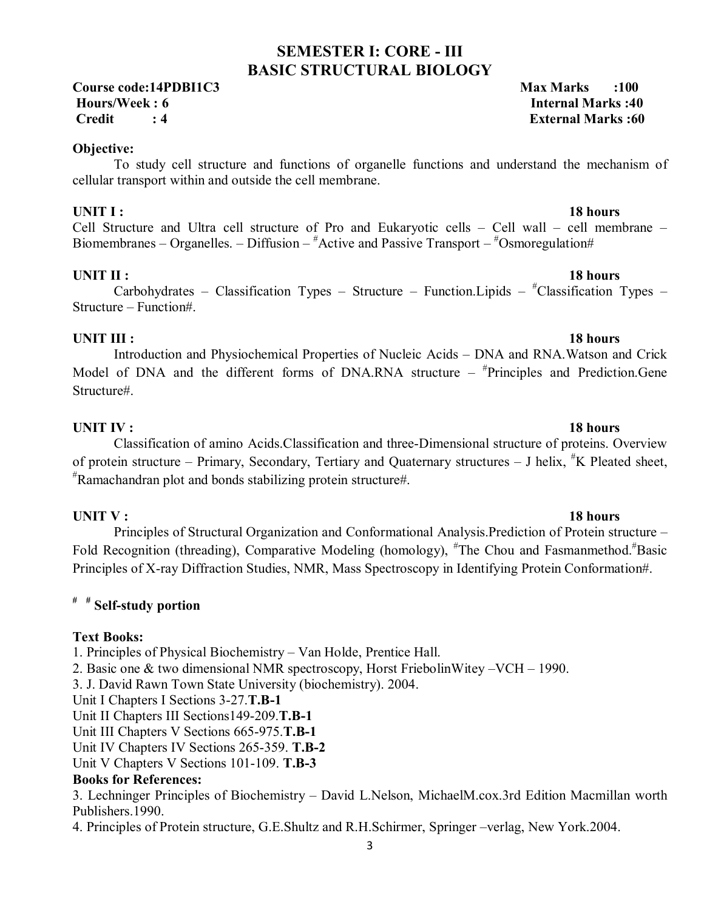# **SEMESTER I: CORE - III BASIC STRUCTURAL BIOLOGY**

**Course code:14PDBI1C3** Max Marks :100  **Hours/Week : 6 Internal Marks :40 Credit : 4 External Marks :60** 

### **Objective:**

To study cell structure and functions of organelle functions and understand the mechanism of cellular transport within and outside the cell membrane.

### **UNIT I :** 18 hours

Cell Structure and Ultra cell structure of Pro and Eukaryotic cells – Cell wall – cell membrane – Biomembranes – Organelles. – Diffusion –  $*$ Active and Passive Transport –  $*$ Osmoregulation#

# **UNIT II :** 18 hours

Carbohydrates – Classification Types – Structure – Function. Lipids –  $*$ Classification Types – Structure – Function#.

## **UNIT III :** 18 hours

Introduction and Physiochemical Properties of Nucleic Acids – DNA and RNA.Watson and Crick Model of DNA and the different forms of DNA.RNA structure – <sup>#</sup>Principles and Prediction.Gene Structure#.

# **UNIT IV :** 18 hours

Classification of amino Acids.Classification and three-Dimensional structure of proteins. Overview of protein structure – Primary, Secondary, Tertiary and Quaternary structures – J helix, <sup>#</sup>K Pleated sheet, # Ramachandran plot and bonds stabilizing protein structure#.

# **UNIT V :** 18 hours

Principles of Structural Organization and Conformational Analysis.Prediction of Protein structure – Fold Recognition (threading), Comparative Modeling (homology), <sup>#</sup>The Chou and Fasmanmethod.<sup>#</sup>Basic Principles of X-ray Diffraction Studies, NMR, Mass Spectroscopy in Identifying Protein Conformation#.

# **# # Self-study portion**

### **Text Books:**

1. Principles of Physical Biochemistry – Van Holde, Prentice Hall.

2. Basic one & two dimensional NMR spectroscopy, Horst FriebolinWitey –VCH – 1990.

3. J. David Rawn Town State University (biochemistry). 2004.

Unit I Chapters I Sections 3-27.**T.B-1** 

Unit II Chapters III Sections149-209.**T.B-1**

Unit III Chapters V Sections 665-975.**T.B-1**

Unit IV Chapters IV Sections 265-359. **T.B-2**

Unit V Chapters V Sections 101-109. **T.B-3**

### **Books for References:**

3. Lechninger Principles of Biochemistry – David L.Nelson, MichaelM.cox.3rd Edition Macmillan worth Publishers.1990.

4. Principles of Protein structure, G.E.Shultz and R.H.Schirmer, Springer –verlag, New York.2004.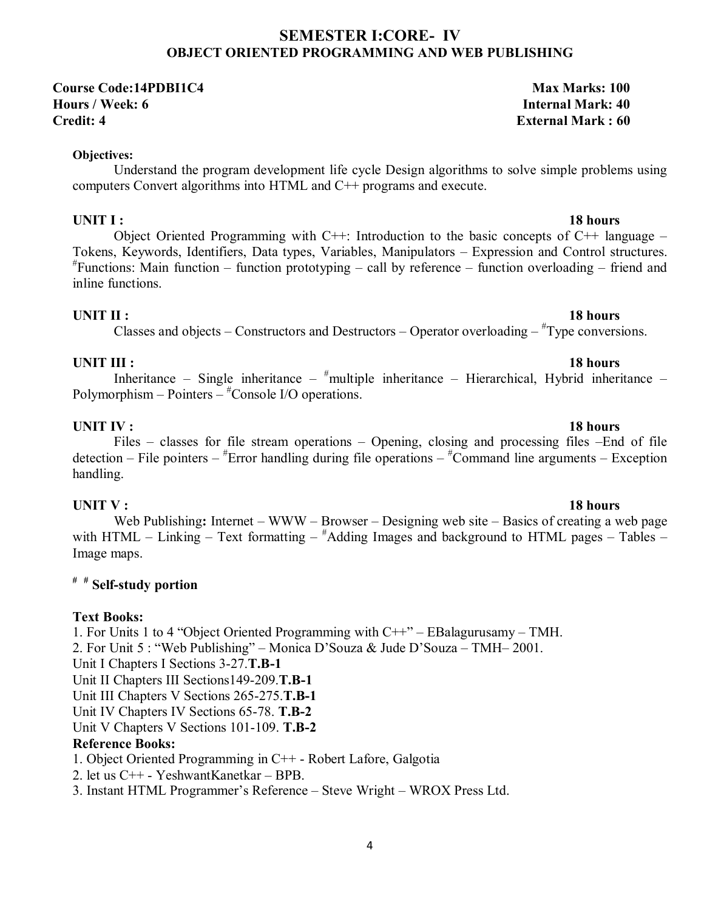# **SEMESTER I:CORE- IV OBJECT ORIENTED PROGRAMMING AND WEB PUBLISHING**

**Course Code:14PDBI1C4** Max Marks: 100 **Hours / Week: 6 Internal Mark: 40 Credit: 4 External Mark : 60**

### **Objectives:**

Understand the program development life cycle Design algorithms to solve simple problems using computers Convert algorithms into HTML and C++ programs and execute.

Object Oriented Programming with C++: Introduction to the basic concepts of C++ language – Tokens, Keywords, Identifiers, Data types, Variables, Manipulators – Expression and Control structures. # Functions: Main function – function prototyping – call by reference – function overloading – friend and inline functions.

# **UNIT II :** 18 hours

Classes and objects – Constructors and Destructors – Operator overloading  $-\sqrt[{\mu}]{\text{Type conversions}}$ .

## **UNIT III :** 18 hours

Inheritance – Single inheritance –  $^{\#}$ multiple inheritance – Hierarchical, Hybrid inheritance – Polymorphism – Pointers –  $*$ Console I/O operations.

## **UNIT IV :** 18 hours

Files – classes for file stream operations – Opening, closing and processing files –End of file detection – File pointers –  $*$ Error handling during file operations –  $*$ Command line arguments – Exception handling.

# **UNIT V :** 18 hours

Web Publishing: Internet – WWW – Browser – Designing web site – Basics of creating a web page with HTML – Linking – Text formatting  $-$  #Adding Images and background to HTML pages – Tables – Image maps.

# **# # Self-study portion**

### **Text Books:**

1. For Units 1 to 4 "Object Oriented Programming with C++" – EBalagurusamy – TMH. 2. For Unit 5 : "Web Publishing" – Monica D'Souza & Jude D'Souza – TMH– 2001. Unit I Chapters I Sections 3-27.**T.B-1**  Unit II Chapters III Sections149-209.**T.B-1** Unit III Chapters V Sections 265-275.**T.B-1** Unit IV Chapters IV Sections 65-78. **T.B-2** Unit V Chapters V Sections 101-109. **T.B-2 Reference Books:**  1. Object Oriented Programming in C++ - Robert Lafore, Galgotia

2. let us C++ - YeshwantKanetkar – BPB.

3. Instant HTML Programmer's Reference – Steve Wright – WROX Press Ltd.

### **UNIT I :** 18 hours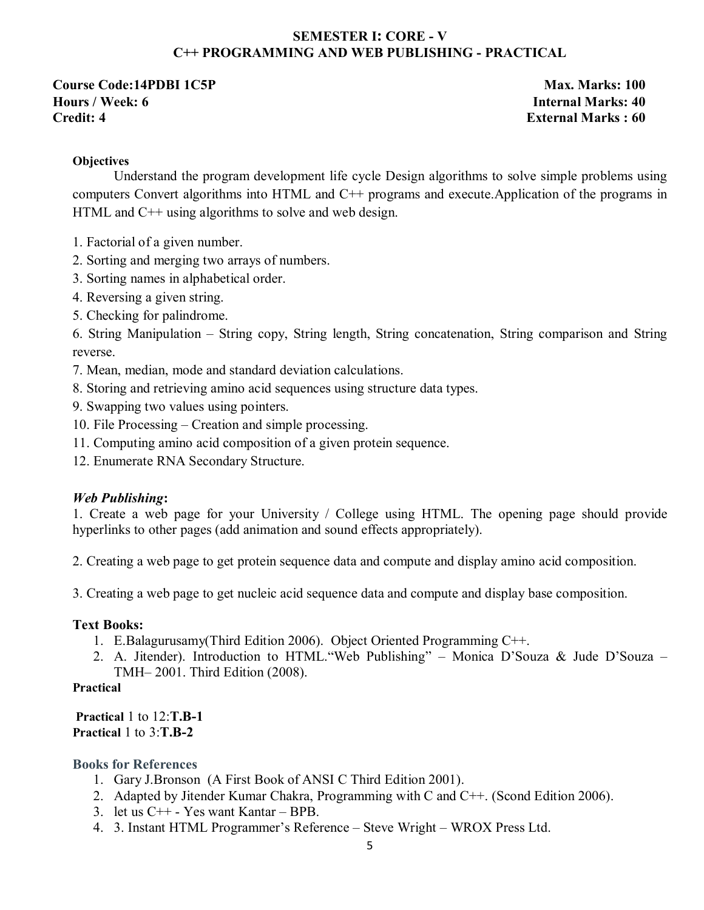### **SEMESTER I: CORE - V C++ PROGRAMMING AND WEB PUBLISHING - PRACTICAL**

**Course Code:14PDBI 1C5P** Max. Marks: 100 **Hours / Week: 6 Internal Marks: 40 Credit: 4 External Marks : 60**

## **Objectives**

Understand the program development life cycle Design algorithms to solve simple problems using computers Convert algorithms into HTML and C++ programs and execute.Application of the programs in HTML and C++ using algorithms to solve and web design.

- 1. Factorial of a given number.
- 2. Sorting and merging two arrays of numbers.
- 3. Sorting names in alphabetical order.
- 4. Reversing a given string.
- 5. Checking for palindrome.

6. String Manipulation – String copy, String length, String concatenation, String comparison and String reverse.

- 7. Mean, median, mode and standard deviation calculations.
- 8. Storing and retrieving amino acid sequences using structure data types.
- 9. Swapping two values using pointers.
- 10. File Processing Creation and simple processing.
- 11. Computing amino acid composition of a given protein sequence.
- 12. Enumerate RNA Secondary Structure.

### *Web Publishing***:**

1. Create a web page for your University / College using HTML. The opening page should provide hyperlinks to other pages (add animation and sound effects appropriately).

2. Creating a web page to get protein sequence data and compute and display amino acid composition.

3. Creating a web page to get nucleic acid sequence data and compute and display base composition.

### **Text Books:**

- 1. E.Balagurusamy(Third Edition 2006). Object Oriented Programming C++.
- 2. A. Jitender). Introduction to HTML."Web Publishing" Monica D'Souza & Jude D'Souza TMH– 2001. Third Edition (2008).

### **Practical**

 **Practical** 1 to 12:**T.B-1 Practical** 1 to 3:**T.B-2**

### **Books for References**

- 1. Gary J.Bronson (A First Book of ANSI C Third Edition 2001).
- 2. Adapted by Jitender Kumar Chakra, Programming with C and C++. (Scond Edition 2006).
- 3. let us C++ Yes want Kantar BPB.
- 4. 3. Instant HTML Programmer's Reference Steve Wright WROX Press Ltd.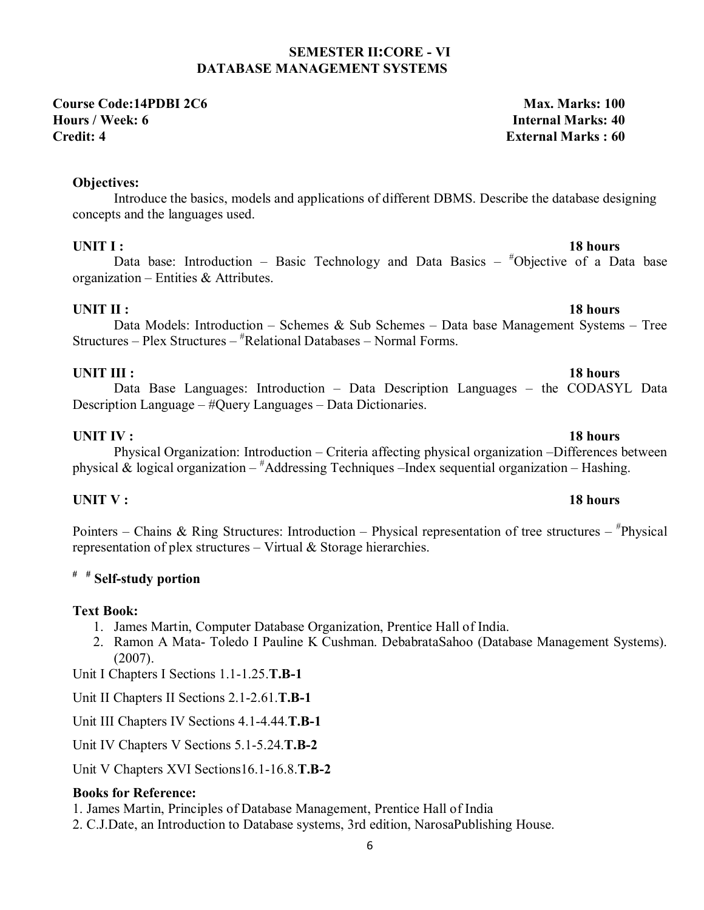### **SEMESTER II:CORE - VI DATABASE MANAGEMENT SYSTEMS**

**Course Code:14PDBI 2C6 May. Marks: 100 Hours / Week: 6 Internal Marks: 40 Credit: 4 External Marks : 60**

### **Objectives:**

Introduce the basics, models and applications of different DBMS. Describe the database designing concepts and the languages used.

### **UNIT I :** 18 hours

Data base: Introduction – Basic Technology and Data Basics –  $*$ Objective of a Data base organization – Entities & Attributes.

# **UNIT II :** 18 hours

Data Models: Introduction – Schemes & Sub Schemes – Data base Management Systems – Tree Structures – Plex Structures – # Relational Databases – Normal Forms.

## **UNIT III :** 18 hours

Data Base Languages: Introduction – Data Description Languages – the CODASYL Data Description Language – #Query Languages – Data Dictionaries.

## **UNIT IV :** 18 hours

Physical Organization: Introduction – Criteria affecting physical organization –Differences between physical & logical organization  $-$  #Addressing Techniques  $-$ Index sequential organization  $-$  Hashing.

## **UNIT V :** 18 hours

Pointers – Chains & Ring Structures: Introduction – Physical representation of tree structures –  $H$ Physical representation of plex structures – Virtual & Storage hierarchies.

# **# # Self-study portion**

### **Text Book:**

- 1. James Martin, Computer Database Organization, Prentice Hall of India.
- 2. Ramon A Mata- Toledo I Pauline K Cushman. DebabrataSahoo (Database Management Systems). (2007).

Unit I Chapters I Sections 1.1-1.25.**T.B-1**

Unit II Chapters II Sections 2.1-2.61.**T.B-1**

Unit III Chapters IV Sections 4.1-4.44.**T.B-1**

Unit IV Chapters V Sections 5.1-5.24.**T.B-2**

Unit V Chapters XVI Sections16.1-16.8.**T.B-2**

### **Books for Reference:**

1. James Martin, Principles of Database Management, Prentice Hall of India

2. C.J.Date, an Introduction to Database systems, 3rd edition, NarosaPublishing House.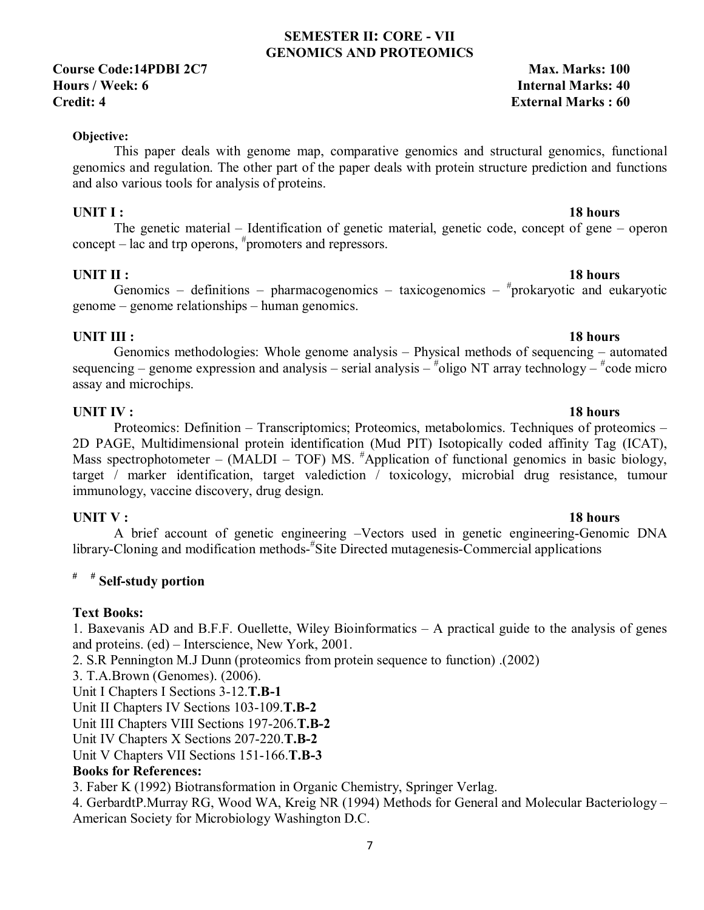## **SEMESTER II: CORE - VII GENOMICS AND PROTEOMICS**

### **Course Code:14PDBI 2C7** Max. Marks: 100 **Hours / Week: 6 Internal Marks: 40 Credit: 4 External Marks : 60**

## **Objective:**

This paper deals with genome map, comparative genomics and structural genomics, functional genomics and regulation. The other part of the paper deals with protein structure prediction and functions and also various tools for analysis of proteins.

# **UNIT I :** 18 hours

The genetic material – Identification of genetic material, genetic code, concept of gene – operon concept – lac and trp operons, # promoters and repressors.

# **UNIT II :** 18 hours

Genomics – definitions – pharmacogenomics – taxicogenomics –  $*$ prokaryotic and eukaryotic genome – genome relationships – human genomics.

# **UNIT III :** 18 hours

Genomics methodologies: Whole genome analysis – Physical methods of sequencing – automated sequencing – genome expression and analysis – serial analysis  $-\pi$  oligo NT array technology –  $\pi$  code micro assay and microchips.

# **UNIT IV :** 18 hours

Proteomics: Definition – Transcriptomics; Proteomics, metabolomics. Techniques of proteomics – 2D PAGE, Multidimensional protein identification (Mud PIT) Isotopically coded affinity Tag (ICAT), Mass spectrophotometer – (MALDI – TOF) MS. <sup>#</sup>Application of functional genomics in basic biology, target / marker identification, target valediction / toxicology, microbial drug resistance, tumour immunology, vaccine discovery, drug design.

**UNIT V :** 18 hours A brief account of genetic engineering –Vectors used in genetic engineering-Genomic DNA library-Cloning and modification methods-# Site Directed mutagenesis-Commercial applications

# **# # Self-study portion**

# **Text Books:**

1. Baxevanis AD and B.F.F. Ouellette, Wiley Bioinformatics – A practical guide to the analysis of genes and proteins. (ed) – Interscience, New York, 2001.

2. S.R Pennington M.J Dunn (proteomics from protein sequence to function) .(2002)

3. T.A.Brown (Genomes). (2006).

Unit I Chapters I Sections 3-12.**T.B-1**

Unit II Chapters IV Sections 103-109.**T.B-2**

Unit III Chapters VIII Sections 197-206.**T.B-2**

Unit IV Chapters X Sections 207-220.**T.B-2**

Unit V Chapters VII Sections 151-166.**T.B-3**

# **Books for References:**

3. Faber K (1992) Biotransformation in Organic Chemistry, Springer Verlag.

4. GerbardtP.Murray RG, Wood WA, Kreig NR (1994) Methods for General and Molecular Bacteriology – American Society for Microbiology Washington D.C.

# 7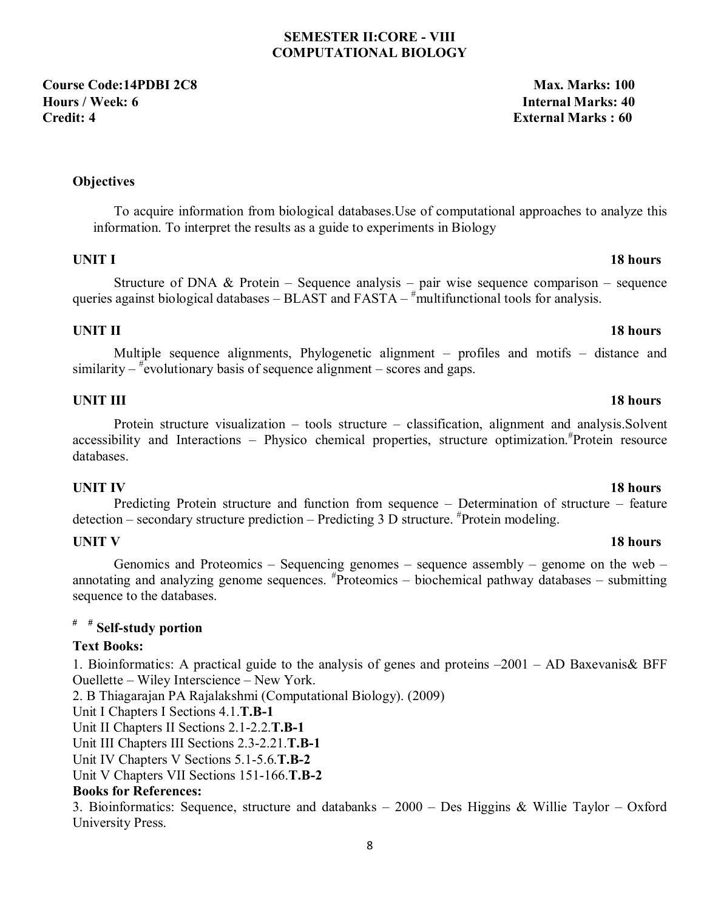# **SEMESTER II:CORE - VIII COMPUTATIONAL BIOLOGY**

**Course Code:14PDBI 2C8 May. Marks: 100 Hours / Week: 6 Internal Marks: 40 Credit: 4 External Marks : 60** 

## **Objectives**

To acquire information from biological databases.Use of computational approaches to analyze this information. To interpret the results as a guide to experiments in Biology

## **UNIT I** 18 hours

Structure of DNA & Protein – Sequence analysis – pair wise sequence comparison – sequence queries against biological databases –  $BLAST$  and  $FASTA - \#$ multifunctional tools for analysis.

## **UNIT II** 18 hours

Multiple sequence alignments, Phylogenetic alignment – profiles and motifs – distance and similarity –  $*$  evolutionary basis of sequence alignment – scores and gaps.

## **UNIT III** 18 hours

Protein structure visualization – tools structure – classification, alignment and analysis.Solvent accessibility and Interactions - Physico chemical properties, structure optimization.<sup>#</sup>Protein resource databases.

# **UNIT IV** 18 hours

Predicting Protein structure and function from sequence – Determination of structure – feature detection – secondary structure prediction – Predicting 3 D structure. # Protein modeling.

# **UNIT V** 18 hours

Genomics and Proteomics – Sequencing genomes – sequence assembly – genome on the web – annotating and analyzing genome sequences. # Proteomics – biochemical pathway databases – submitting sequence to the databases.

# **# # Self-study portion**

# **Text Books:**

1. Bioinformatics: A practical guide to the analysis of genes and proteins –2001 – AD Baxevanis& BFF Ouellette – Wiley Interscience – New York.

2. B Thiagarajan PA Rajalakshmi (Computational Biology). (2009)

Unit I Chapters I Sections 4.1.**T.B-1**

Unit II Chapters II Sections 2.1-2.2.**T.B-1**

Unit III Chapters III Sections 2.3-2.21.**T.B-1**

Unit IV Chapters V Sections 5.1-5.6.**T.B-2**

Unit V Chapters VII Sections 151-166.**T.B-2**

# **Books for References:**

3. Bioinformatics: Sequence, structure and databanks – 2000 – Des Higgins & Willie Taylor – Oxford University Press.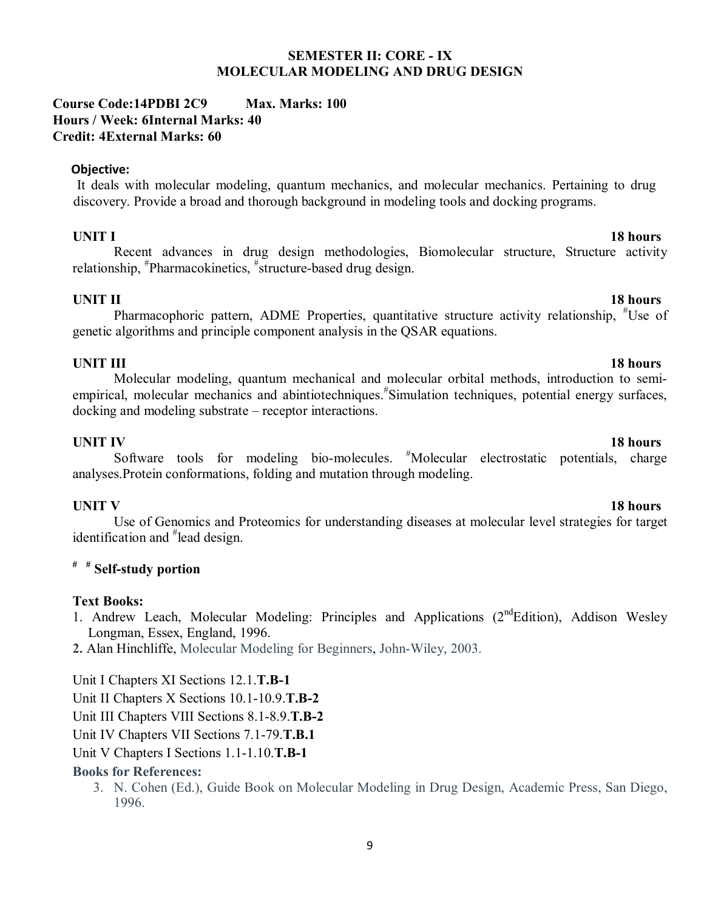### **SEMESTER II: CORE - IX MOLECULAR MODELING AND DRUG DESIGN**

# **Course Code:14PDBI 2C9 Max. Marks: 100 Hours / Week: 6Internal Marks: 40 Credit: 4External Marks: 60**

### **Objective:**

 It deals with molecular modeling, quantum mechanics, and molecular mechanics. Pertaining to drug discovery. Provide a broad and thorough background in modeling tools and docking programs.

Recent advances in drug design methodologies, Biomolecular structure, Structure activity relationship, <sup>#</sup>Pharmacokinetics, <sup>#</sup>structure-based drug design.

**UNIT II** 18 hours Pharmacophoric pattern, ADME Properties, quantitative structure activity relationship, #Use of genetic algorithms and principle component analysis in the QSAR equations.

# **UNIT III** 18 hours

Molecular modeling, quantum mechanical and molecular orbital methods, introduction to semiempirical, molecular mechanics and abintiotechniques.<sup>#</sup>Simulation techniques, potential energy surfaces, docking and modeling substrate – receptor interactions.

**UNIT IV** 18 hours Software tools for modeling bio-molecules. <sup>#</sup>Molecular electrostatic potentials, charge analyses.Protein conformations, folding and mutation through modeling.

# **UNIT V** 18 hours

Use of Genomics and Proteomics for understanding diseases at molecular level strategies for target identification and <sup>#</sup>lead design.

# **# # Self-study portion**

# **Text Books:**

- 1. Andrew Leach, Molecular Modeling: Principles and Applications  $(2<sup>nd</sup>Edition)$ , Addison Wesley Longman, Essex, England, 1996.
- **2.** Alan Hinchliffe, Molecular Modeling for Beginners, John-Wiley, 2003.

Unit I Chapters XI Sections 12.1.**T.B-1** 

Unit II Chapters X Sections 10.1-10.9.**T.B-2**

Unit III Chapters VIII Sections 8.1-8.9.**T.B-2**

Unit IV Chapters VII Sections 7.1-79.**T.B.1**

Unit V Chapters I Sections 1.1-1.10.**T.B-1**

### **Books for References:**

3. N. Cohen (Ed.), Guide Book on Molecular Modeling in Drug Design, Academic Press, San Diego, 1996.

# 9

# **UNIT I** 18 hours